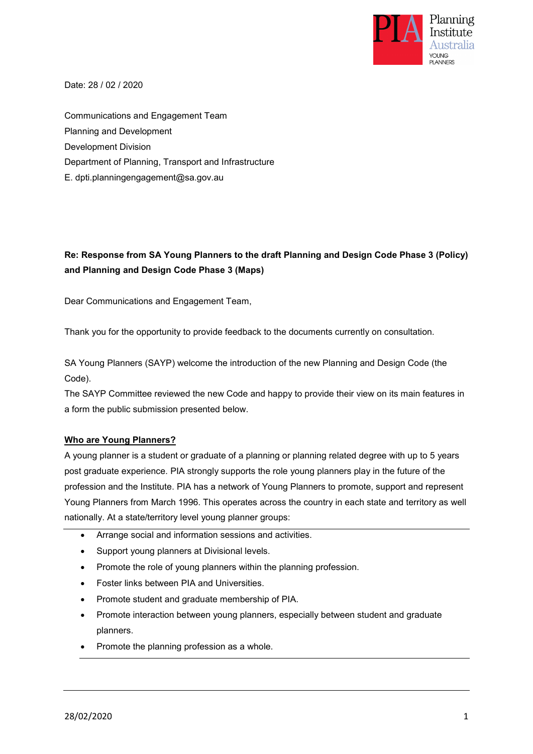

Date: 28 / 02 / 2020

Communications and Engagement Team Planning and Development Development Division Department of Planning, Transport and Infrastructure E. dpti.planningengagement@sa.gov.au

## **Re: Response from SA Young Planners to the draft Planning and Design Code Phase 3 (Policy) and Planning and Design Code Phase 3 (Maps)**

Dear Communications and Engagement Team,

Thank you for the opportunity to provide feedback to the documents currently on consultation.

SA Young Planners (SAYP) welcome the introduction of the new Planning and Design Code (the Code).

The SAYP Committee reviewed the new Code and happy to provide their view on its main features in a form the public submission presented below.

## **Who are Young Planners?**

A young planner is a student or graduate of a planning or planning related degree with up to 5 years post graduate experience. PIA strongly supports the role young planners play in the future of the profession and the Institute. PIA has a network of Young Planners to promote, support and represent Young Planners from March 1996. This operates across the country in each state and territory as well nationally. At a state/territory level young planner groups:

- Arrange social and information sessions and activities.
- Support young planners at Divisional levels.
- Promote the role of young planners within the planning profession.
- Foster links between PIA and Universities.
- Promote student and graduate membership of PIA.
- Promote interaction between young planners, especially between student and graduate planners.
- Promote the planning profession as a whole.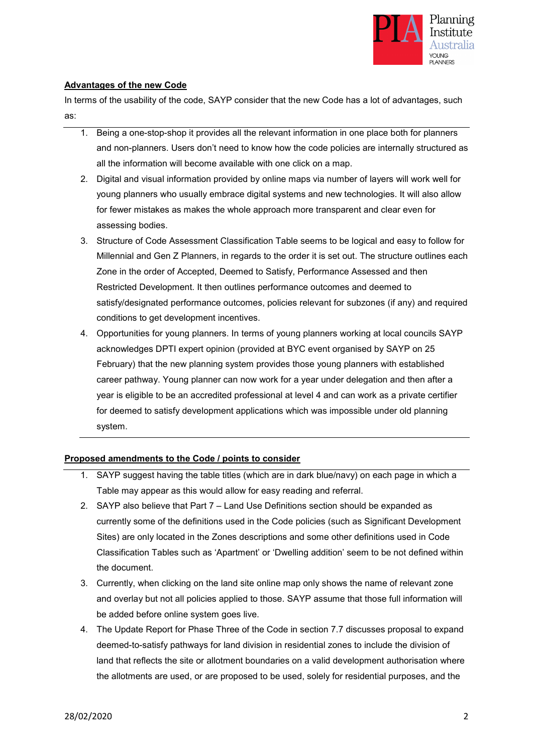

## **Advantages of the new Code**

In terms of the usability of the code, SAYP consider that the new Code has a lot of advantages, such as:

- 1. Being a one-stop-shop it provides all the relevant information in one place both for planners and non-planners. Users don't need to know how the code policies are internally structured as all the information will become available with one click on a map.
- 2. Digital and visual information provided by online maps via number of layers will work well for young planners who usually embrace digital systems and new technologies. It will also allow for fewer mistakes as makes the whole approach more transparent and clear even for assessing bodies.
- 3. Structure of Code Assessment Classification Table seems to be logical and easy to follow for Millennial and Gen Z Planners, in regards to the order it is set out. The structure outlines each Zone in the order of Accepted, Deemed to Satisfy, Performance Assessed and then Restricted Development. It then outlines performance outcomes and deemed to satisfy/designated performance outcomes, policies relevant for subzones (if any) and required conditions to get development incentives.
- 4. Opportunities for young planners. In terms of young planners working at local councils SAYP acknowledges DPTI expert opinion (provided at BYC event organised by SAYP on 25 February) that the new planning system provides those young planners with established career pathway. Young planner can now work for a year under delegation and then after a year is eligible to be an accredited professional at level 4 and can work as a private certifier for deemed to satisfy development applications which was impossible under old planning system.

## **Proposed amendments to the Code / points to consider**

- 1. SAYP suggest having the table titles (which are in dark blue/navy) on each page in which a Table may appear as this would allow for easy reading and referral.
- 2. SAYP also believe that Part 7 Land Use Definitions section should be expanded as currently some of the definitions used in the Code policies (such as Significant Development Sites) are only located in the Zones descriptions and some other definitions used in Code Classification Tables such as 'Apartment' or 'Dwelling addition' seem to be not defined within the document.
- 3. Currently, when clicking on the land site online map only shows the name of relevant zone and overlay but not all policies applied to those. SAYP assume that those full information will be added before online system goes live.
- 4. The Update Report for Phase Three of the Code in section 7.7 discusses proposal to expand deemed-to-satisfy pathways for land division in residential zones to include the division of land that reflects the site or allotment boundaries on a valid development authorisation where the allotments are used, or are proposed to be used, solely for residential purposes, and the